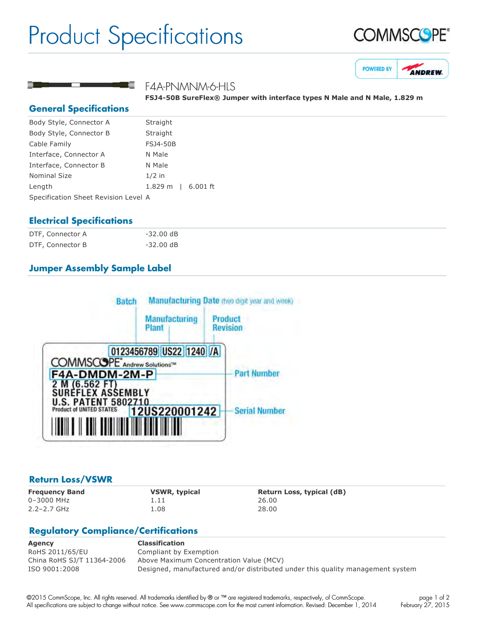# Product Specifications







#### F4A-PNMNM-6-HLS

**FSJ450B SureFlex® Jumper with interface types N Male and N Male, 1.829 m**

#### **General Specifications**

| Body Style, Connector A              | Straight           |  |
|--------------------------------------|--------------------|--|
| Body Style, Connector B              | Straight           |  |
| Cable Family                         | <b>FSJ4-50B</b>    |  |
| Interface, Connector A               | N Male             |  |
| Interface, Connector B               | N Male             |  |
| <b>Nominal Size</b>                  | $1/2$ in           |  |
| Length                               | 1.829 m   6.001 ft |  |
| Specification Sheet Revision Level A |                    |  |

#### **Electrical Specifications**

| DTF, Connector A | $-32.00$ dB |
|------------------|-------------|
| DTF, Connector B | $-32.00$ dB |

# **Jumper Assembly Sample Label**



#### **Return Loss/VSWR**

0–3000 MHz 1.11 26.00 2.2–2.7 GHz 1.08 28.00

**Frequency Band VSWR, typical Return Loss, typical (dB)**

# **Regulatory Compliance/Certifications**

| Agency                     | <b>Classification</b>                                                          |
|----------------------------|--------------------------------------------------------------------------------|
| RoHS 2011/65/EU            | Compliant by Exemption                                                         |
| China RoHS SJ/T 11364-2006 | Above Maximum Concentration Value (MCV)                                        |
| ISO 9001:2008              | Designed, manufactured and/or distributed under this quality management system |